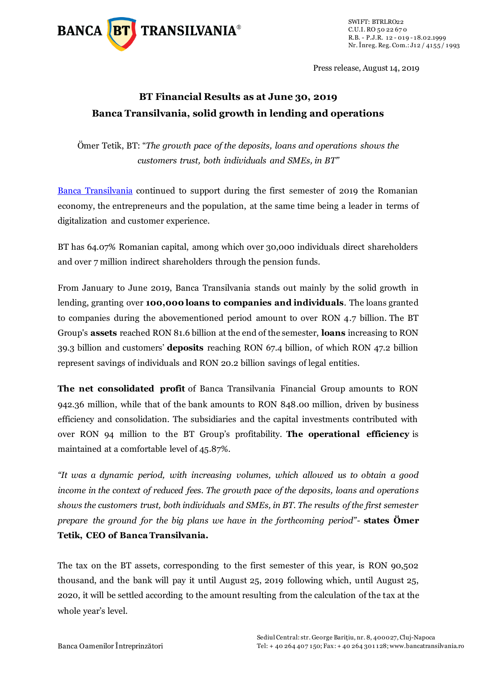

Press release, August 14, 2019

# **BT Financial Results as at June 30, 2019 Banca Transilvania, solid growth in lending and operations**

Ömer Tetik, BT: "*The growth pace of the deposits, loans and operations shows the customers trust, both individuals and SMEs, in BT"*

[Banca Transilvania](https://www.bancatransilvania.ro/) continued to support during the first semester of 2019 the Romanian economy, the entrepreneurs and the population, at the same time being a leader in terms of digitalization and customer experience.

BT has 64.07% Romanian capital, among which over 30,000 individuals direct shareholders and over 7 million indirect shareholders through the pension funds.

From January to June 2019, Banca Transilvania stands out mainly by the solid growth in lending, granting over **100,000 loans to companies and individuals**. The loans granted to companies during the abovementioned period amount to over RON 4.7 billion. The BT Group's **assets** reached RON 81.6 billion at the end of the semester, **loans** increasing to RON 39.3 billion and customers' **deposits** reaching RON 67.4 billion, of which RON 47.2 billion represent savings of individuals and RON 20.2 billion savings of legal entities.

**The net consolidated profit** of Banca Transilvania Financial Group amounts to RON 942.36 million, while that of the bank amounts to RON 848.00 million, driven by business efficiency and consolidation. The subsidiaries and the capital investments contributed with over RON 94 million to the BT Group's profitability. **The operational efficiency** is maintained at a comfortable level of 45.87%.

*"It was a dynamic period, with increasing volumes, which allowed us to obtain a good income in the context of reduced fees. The growth pace of the deposits, loans and operations shows the customers trust, both individuals and SMEs, in BT. The results of the first semester prepare the ground for the big plans we have in the forthcoming period"-* **states Ömer Tetik, CEO of Banca Transilvania.**

The tax on the BT assets, corresponding to the first semester of this year, is RON 90,502 thousand, and the bank will pay it until August 25, 2019 following which, until August 25, 2020, it will be settled according to the amount resulting from the calculation of the tax at the whole year's level.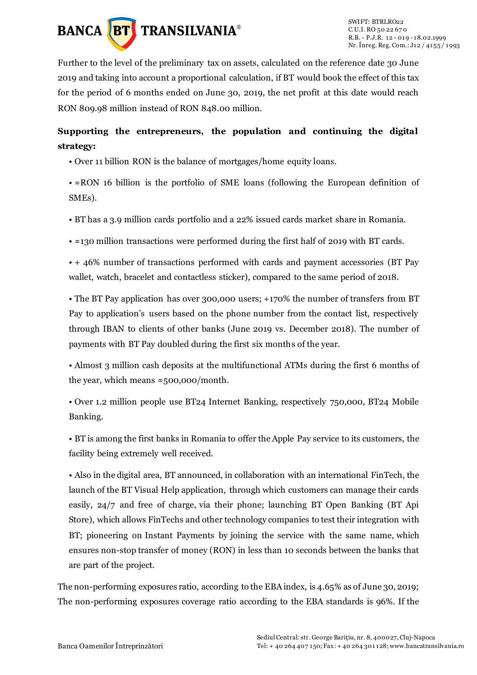

Further to the level of the preliminary tax on assets, calculated on the reference date 30 June 2019 and taking into account a proportional calculation, if BT would book the effect of this tax for the period of 6 months ended on June 30, 2019, the net profit at this date would reach RON 809.98 million instead of RON 848.00 million.

# **Supporting the entrepreneurs, the population and continuing the digital strategy:**

- Over 11 billion RON is the balance of mortgages/home equity loans.
- ≈RON 16 billion is the portfolio of SME loans (following the European definition of SMEs).
- BT has a 3.9 million cards portfolio and a 22% issued cards market share in Romania.
- ≈130 million transactions were performed during the first half of 2019 with BT cards.

• + 46% number of transactions performed with cards and payment accessories (BT Pay wallet, watch, bracelet and contactless sticker), compared to the same period of 2018.

• The BT Pay application has over 300,000 users; +170% the number of transfers from BT Pay to application's users based on the phone number from the contact list, respectively through IBAN to clients of other banks (June 2019 vs. December 2018). The number of payments with BT Pay doubled during the first six months of the year.

• Almost 3 million cash deposits at the multifunctional ATMs during the first 6 months of the year, which means  $\approx$ 500,000/month.

• Over 1.2 million people use BT24 Internet Banking, respectively 750,000, BT24 Mobile Banking.

• BT is among the first banks in Romania to offer the Apple Pay service to its customers, the facility being extremely well received.

• Also in the digital area, BT announced, in collaboration with an international FinTech, the launch of the BT Visual Help application, through which customers can manage their cards easily, 24/7 and free of charge, [via their phone; launching BT Open Banking \(BT Api](https://apistorebt.ro/)  [Store\),](https://apistorebt.ro/) which allows FinTechs and other technology companies to test their integration with BT; pioneering on Instant Payments by [joining the service with the same name,](https://www.bancatransilvania.ro/bt-social-media-newsroom/stiri/platile-instant-lansate-in-romania-de-transfond-banca-transilvania-si-cec-bank/) which ensures non-stop transfer of money (RON) in less than 10 seconds between the banks that are part of the project.

The non-performing exposures ratio, according to the EBA index, is 4.65% as of June 30, 2019; The non-performing exposures coverage ratio according to the EBA standards is 96%. If the